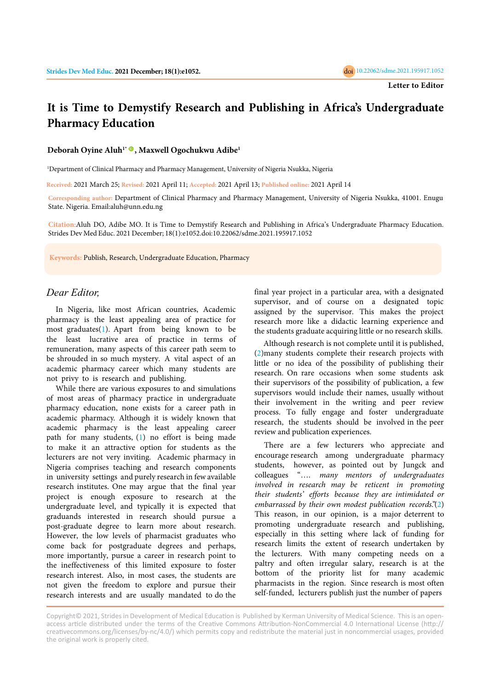## **It is Time to Demystify Research and Publishing in Africa's Undergraduate Pharmacy Education**

**Deborah Oyine Aluh1\*, Maxwell Ogochukwu Adibe<sup>1</sup>**

<sup>1</sup>Department of Clinical Pharmacy and Pharmacy Management, University of Nigeria Nsukka, Nigeria

**Received:** 2021 March 25; **Revised:** 2021 April 11; **Accepted:** 2021 April 13; **Published online:** 2021 April 14

**Corresponding author:** Department of Clinical Pharmacy and Pharmacy Management, University of Nigeria Nsukka, 41001. Enugu State. Nigeria. Email:aluh@unn.edu.ng

**Citation:**Aluh DO, Adibe MO. It is Time to Demystify Research and Publishing in Africa's Undergraduate Pharmacy Education. Strides Dev Med Educ. 2021 December; 18(1):e1052.doi:10.22062/sdme.2021.195917.1052

**Keywords:** Publish, Research, Undergraduate Education, Pharmacy

## *Dear Editor,*

In Nigeria, like most African countries, Academic pharmacy is the least appealing area of practice for most graduates([1](#page-1-0)). Apart from being known to be the least lucrative area of practice in terms of remuneration, many aspects of this career path seem to be shrouded in so much mystery. A vital aspect of an academic pharmacy career which many students are not privy to is research and publishing.

While there are various exposures to and simulations of most areas of pharmacy practice in undergraduate pharmacy education, none exists for a career path in academic pharmacy. Although it is widely known that academic pharmacy is the least appealing career path for many students, [\(1\)](#page-1-0) no effort is being made to make it an attractive option for students as the lecturers are not very inviting. Academic pharmacy in Nigeria comprises teaching and research components in university settings and purely research in few available research institutes. One may argue that the final year project is enough exposure to research at the undergraduate level, and typically it is expected that graduands interested in research should pursue a post-graduate degree to learn more about research. However, the low levels of pharmacist graduates who come back for postgraduate degrees and perhaps, more importantly, pursue a career in research point to the ineffectiveness of this limited exposure to foster research interest. Also, in most cases, the students are not given the freedom to explore and pursue their research interests and are usually mandated to do the

final year project in a particular area, with a designated supervisor, and of course on a designated topic assigned by the supervisor. This makes the project research more like a didactic learning experience and the students graduate acquiring little or no research skills.

Although research is not complete until it is published, ([2\)](#page-1-0)many students complete their research projects with little or no idea of the possibility of publishing their research. On rare occasions when some students ask their supervisors of the possibility of publication, a few supervisors would include their names, usually without their involvement in the writing and peer review process. To fully engage and foster undergraduate research, the students should be involved in the peer review and publication experiences.

There are a few lecturers who appreciate and encourage research among undergraduate pharmacy students, however, as pointed out by Jungck and colleagues "…. *many mentors of undergraduates involved in research may be reticent in promoting their students' efforts because they are intimidated or embarrassed by their own modest publication records*."[\(2\)](#page-1-0) This reason, in our opinion, is a major deterrent to promoting undergraduate research and publishing, especially in this setting where lack of funding for research limits the extent of research undertaken by the lecturers. With many competing needs on a paltry and often irregular salary, research is at the bottom of the priority list for many academic pharmacists in the region. Since research is most often self-funded, lecturers publish just the number of papers

Copyright© 2021, Strides in Development of Medical Education is Published by Kerman University of Medical Science. This is an openaccess article distributed under the terms of the Creative Commons Attribution-NonCommercial 4.0 International License (http:// creativecommons.org/licenses/by-nc/4.0/) which permits copy and redistribute the material just in noncommercial usages, provided the original work is properly cited.